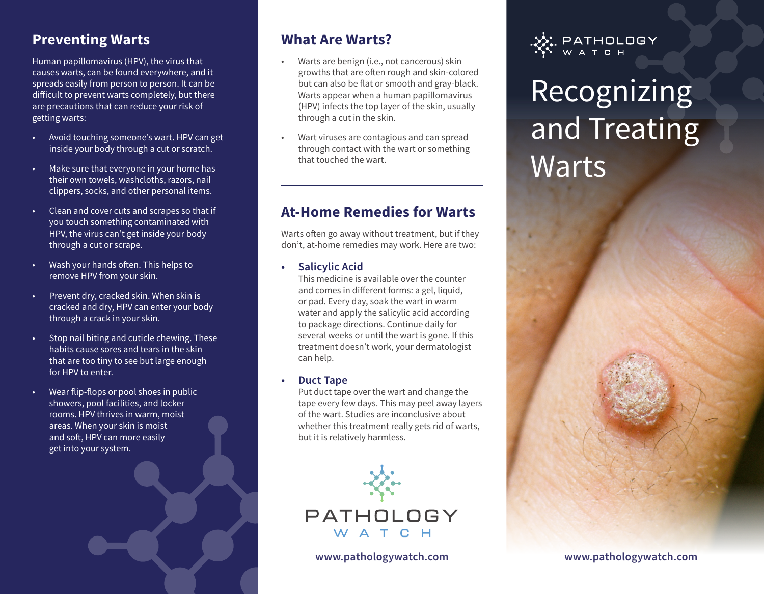## **Preventing Warts**

Human papillomavirus (HPV), the virus that causes warts, can be found everywhere, and it spreads easily from person to person. It can be difficult to prevent warts completely, but there are precautions that can reduce your risk of getting warts:

- Avoid touching someone's wart. HPV can get inside your body through a cut or scratch.
- Make sure that everyone in your home has their own towels, washcloths, razors, nail clippers, socks, and other personal items.
- Clean and cover cuts and scrapes so that if you touch something contaminated with HPV, the virus can't get inside your body through a cut or scrape.
- Wash your hands often. This helps to remove HPV from your skin.
- Prevent dry, cracked skin. When skin is cracked and dry, HPV can enter your body through a crack in your skin.
- Stop nail biting and cuticle chewing. These habits cause sores and tears in the skin that are too tiny to see but large enough for HPV to enter.
- Wear flip-flops or pool shoes in public showers, pool facilities, and locker rooms. HPV thrives in warm, moist areas. When your skin is moist and soft, HPV can more easily get into your system.

## **What Are Warts?**

- Warts are benign (i.e., not cancerous) skin growths that are often rough and skin-colored but can also be flat or smooth and gray-black. Warts appear when a human papillomavirus (HPV) infects the top layer of the skin, usually through a cut in the skin.
- Wart viruses are contagious and can spread through contact with the wart or something that touched the wart.

## **At-Home Remedies for Warts**

Warts often go away without treatment, but if they don't, at-home remedies may work. Here are two:

#### **• Salicylic Acid**

This medicine is available over the counter and comes in different forms: a gel, liquid, or pad. Every day, soak the wart in warm water and apply the salicylic acid according to package directions. Continue daily for several weeks or until the wart is gone. If this treatment doesn't work, your dermatologist can help.

#### **• Duct Tape**

Put duct tape over the wart and change the tape every few days. This may peel away layers of the wart. Studies are inconclusive about whether this treatment really gets rid of warts, but it is relatively harmless.





# Recognizing and Treating Warts